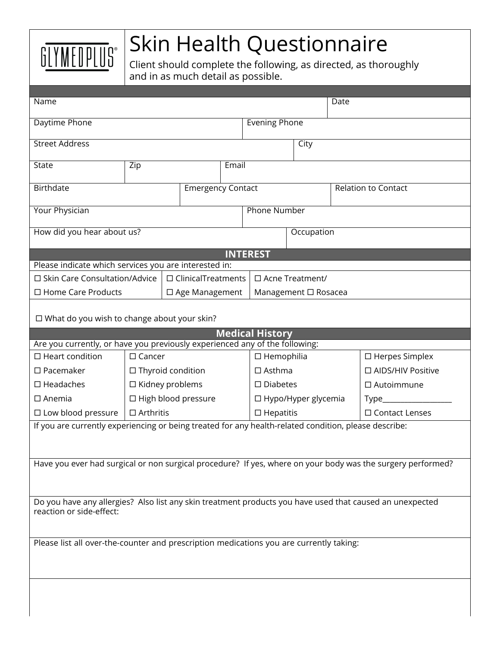

## Skin Health Questionnaire

Client should complete the following, as directed, as thoroughly and in as much detail as possible.

| Name                                                                                                                                 |                            |  |                          |                      |                            |  |  |                            | Date                     |                       |
|--------------------------------------------------------------------------------------------------------------------------------------|----------------------------|--|--------------------------|----------------------|----------------------------|--|--|----------------------------|--------------------------|-----------------------|
| Daytime Phone                                                                                                                        |                            |  |                          | <b>Evening Phone</b> |                            |  |  |                            |                          |                       |
|                                                                                                                                      |                            |  |                          |                      |                            |  |  |                            |                          |                       |
| <b>Street Address</b>                                                                                                                |                            |  |                          |                      | City                       |  |  |                            |                          |                       |
| State                                                                                                                                | Zip                        |  | Email                    |                      |                            |  |  |                            |                          |                       |
| <b>Birthdate</b>                                                                                                                     |                            |  | <b>Emergency Contact</b> |                      |                            |  |  | <b>Relation to Contact</b> |                          |                       |
| Your Physician                                                                                                                       |                            |  | <b>Phone Number</b>      |                      |                            |  |  |                            |                          |                       |
|                                                                                                                                      |                            |  |                          |                      |                            |  |  |                            |                          |                       |
| How did you hear about us?                                                                                                           |                            |  |                          | Occupation           |                            |  |  |                            |                          |                       |
|                                                                                                                                      |                            |  |                          |                      | <b>INTEREST</b>            |  |  |                            |                          |                       |
| Please indicate which services you are interested in:                                                                                |                            |  |                          |                      |                            |  |  |                            |                          |                       |
| □ Skin Care Consultation/Advice<br>$\Box$ ClinicalTreatments                                                                         |                            |  |                          |                      | □ Acne Treatment/          |  |  |                            |                          |                       |
| $\Box$ Home Care Products                                                                                                            |                            |  | $\Box$ Age Management    |                      | Management □ Rosacea       |  |  |                            |                          |                       |
| $\Box$ What do you wish to change about your skin?                                                                                   |                            |  |                          |                      |                            |  |  |                            |                          |                       |
| <b>Medical History</b>                                                                                                               |                            |  |                          |                      |                            |  |  |                            |                          |                       |
| Are you currently, or have you previously experienced any of the following:                                                          |                            |  |                          |                      |                            |  |  |                            |                          |                       |
| $\Box$ Heart condition                                                                                                               | $\Box$ Cancer              |  |                          |                      | $\Box$ Hemophilia          |  |  |                            | $\square$ Herpes Simplex |                       |
| $\square$ Pacemaker                                                                                                                  | □ Thyroid condition        |  |                          | $\Box$ Asthma        |                            |  |  |                            | □ AIDS/HIV Positive      |                       |
| $\square$ Headaches                                                                                                                  | $\square$ Kidney problems  |  |                          |                      | $\square$ Diabetes         |  |  |                            |                          | $\square$ Autoimmune  |
| $\Box$ Anemia                                                                                                                        | $\Box$ High blood pressure |  |                          |                      | $\Box$ Hypo/Hyper glycemia |  |  |                            |                          |                       |
| $\square$ Low blood pressure                                                                                                         | $\Box$ Arthritis           |  |                          |                      | $\Box$ Hepatitis           |  |  |                            |                          | $\Box$ Contact Lenses |
| If you are currently experiencing or being treated for any health-related condition, please describe:                                |                            |  |                          |                      |                            |  |  |                            |                          |                       |
| Have you ever had surgical or non surgical procedure? If yes, where on your body was the surgery performed?                          |                            |  |                          |                      |                            |  |  |                            |                          |                       |
|                                                                                                                                      |                            |  |                          |                      |                            |  |  |                            |                          |                       |
| Do you have any allergies? Also list any skin treatment products you have used that caused an unexpected<br>reaction or side-effect: |                            |  |                          |                      |                            |  |  |                            |                          |                       |
|                                                                                                                                      |                            |  |                          |                      |                            |  |  |                            |                          |                       |
| Please list all over-the-counter and prescription medications you are currently taking:                                              |                            |  |                          |                      |                            |  |  |                            |                          |                       |
|                                                                                                                                      |                            |  |                          |                      |                            |  |  |                            |                          |                       |
|                                                                                                                                      |                            |  |                          |                      |                            |  |  |                            |                          |                       |
|                                                                                                                                      |                            |  |                          |                      |                            |  |  |                            |                          |                       |
|                                                                                                                                      |                            |  |                          |                      |                            |  |  |                            |                          |                       |